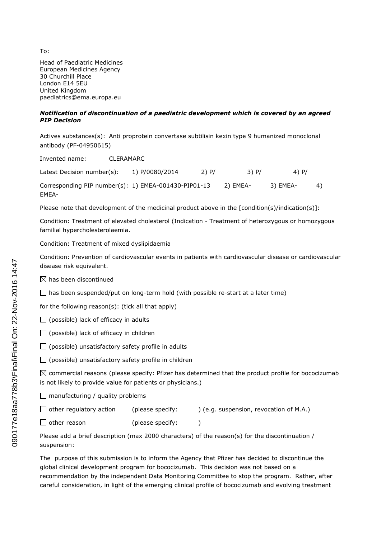Head of Paediatric Medicines European Medicines Agency 30 Churchill Place London E14 5EU United Kingdom paediatrics@ema.europa.eu

## *Notification of discontinuation of a paediatric development which is covered by an agreed PIP Decision*

Actives substances(s): Anti proprotein convertase subtilisin kexin type 9 humanized monoclonal antibody (PF-04950615)

Invented name: CLERAMARC

Latest Decision number(s): 1) P/0080/2014 2) P/ 3) P/ 4) P/ Corresponding PIP number(s): 1) EMEA-001430-PIP01-13 2) EMEA- 3) EMEA- 4) EMEA-

Please note that development of the medicinal product above in the [condition(s)/indication(s)]:

Condition: Treatment of elevated cholesterol (Indication - Treatment of heterozygous or homozygous familial hypercholesterolaemia.

Condition: Treatment of mixed dyslipidaemia

Condition: Prevention of cardiovascular events in patients with cardiovascular disease or cardiovascular disease risk equivalent.

 $\boxtimes$  has been discontinued

 $\Box$  has been suspended/put on long-term hold (with possible re-start at a later time)

for the following reason(s): (tick all that apply)

 $\Box$  (possible) lack of efficacy in adults

 $\Box$  (possible) lack of efficacy in children

 $\Box$  (possible) unsatisfactory safety profile in adults

 $\Box$  (possible) unsatisfactory safety profile in children

 $\boxtimes$  commercial reasons (please specify: Pfizer has determined that the product profile for bococizumab is not likely to provide value for patients or physicians.)

 $\Box$  manufacturing / quality problems

| $\Box$ other regulatory action | (please specify: | ) (e.g. suspension, revocation of M.A.) |
|--------------------------------|------------------|-----------------------------------------|
| $\Box$ other reason            | (please specify: |                                         |

Please add a brief description (max 2000 characters) of the reason(s) for the discontinuation / suspension:

The purpose of this submission is to inform the Agency that Pfizer has decided to discontinue the global clinical development program for bococizumab. This decision was not based on a recommendation by the independent Data Monitoring Committee to stop the program. Rather, after careful consideration, in light of the emerging clinical profile of bococizumab and evolving treatment

To: